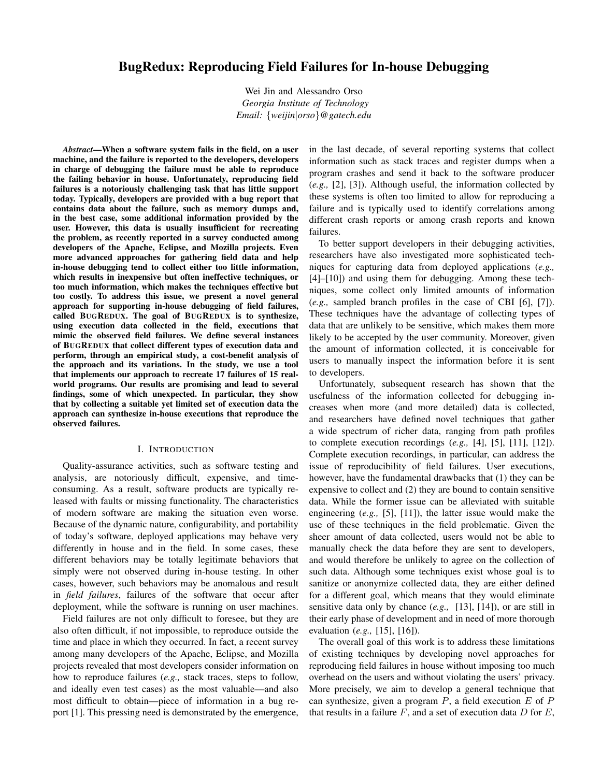# BugRedux: Reproducing Field Failures for In-house Debugging

Wei Jin and Alessandro Orso *Georgia Institute of Technology Email:* {*weijin*|*orso*}*@gatech.edu*

*Abstract*—When a software system fails in the field, on a user machine, and the failure is reported to the developers, developers in charge of debugging the failure must be able to reproduce the failing behavior in house. Unfortunately, reproducing field failures is a notoriously challenging task that has little support today. Typically, developers are provided with a bug report that contains data about the failure, such as memory dumps and, in the best case, some additional information provided by the user. However, this data is usually insufficient for recreating the problem, as recently reported in a survey conducted among developers of the Apache, Eclipse, and Mozilla projects. Even more advanced approaches for gathering field data and help in-house debugging tend to collect either too little information, which results in inexpensive but often ineffective techniques, or too much information, which makes the techniques effective but too costly. To address this issue, we present a novel general approach for supporting in-house debugging of field failures, called BUGREDUX. The goal of BUGREDUX is to synthesize, using execution data collected in the field, executions that mimic the observed field failures. We define several instances of BUGREDUX that collect different types of execution data and perform, through an empirical study, a cost-benefit analysis of the approach and its variations. In the study, we use a tool that implements our approach to recreate 17 failures of 15 realworld programs. Our results are promising and lead to several findings, some of which unexpected. In particular, they show that by collecting a suitable yet limited set of execution data the approach can synthesize in-house executions that reproduce the observed failures.

#### I. INTRODUCTION

Quality-assurance activities, such as software testing and analysis, are notoriously difficult, expensive, and timeconsuming. As a result, software products are typically released with faults or missing functionality. The characteristics of modern software are making the situation even worse. Because of the dynamic nature, configurability, and portability of today's software, deployed applications may behave very differently in house and in the field. In some cases, these different behaviors may be totally legitimate behaviors that simply were not observed during in-house testing. In other cases, however, such behaviors may be anomalous and result in *field failures*, failures of the software that occur after deployment, while the software is running on user machines.

Field failures are not only difficult to foresee, but they are also often difficult, if not impossible, to reproduce outside the time and place in which they occurred. In fact, a recent survey among many developers of the Apache, Eclipse, and Mozilla projects revealed that most developers consider information on how to reproduce failures (*e.g.,* stack traces, steps to follow, and ideally even test cases) as the most valuable—and also most difficult to obtain—piece of information in a bug report [1]. This pressing need is demonstrated by the emergence, in the last decade, of several reporting systems that collect information such as stack traces and register dumps when a program crashes and send it back to the software producer (*e.g.,* [2], [3]). Although useful, the information collected by these systems is often too limited to allow for reproducing a failure and is typically used to identify correlations among different crash reports or among crash reports and known failures.

To better support developers in their debugging activities, researchers have also investigated more sophisticated techniques for capturing data from deployed applications (*e.g.,* [4]–[10]) and using them for debugging. Among these techniques, some collect only limited amounts of information (*e.g.,* sampled branch profiles in the case of CBI [6], [7]). These techniques have the advantage of collecting types of data that are unlikely to be sensitive, which makes them more likely to be accepted by the user community. Moreover, given the amount of information collected, it is conceivable for users to manually inspect the information before it is sent to developers.

Unfortunately, subsequent research has shown that the usefulness of the information collected for debugging increases when more (and more detailed) data is collected, and researchers have defined novel techniques that gather a wide spectrum of richer data, ranging from path profiles to complete execution recordings (*e.g.,* [4], [5], [11], [12]). Complete execution recordings, in particular, can address the issue of reproducibility of field failures. User executions, however, have the fundamental drawbacks that (1) they can be expensive to collect and (2) they are bound to contain sensitive data. While the former issue can be alleviated with suitable engineering (*e.g.,* [5], [11]), the latter issue would make the use of these techniques in the field problematic. Given the sheer amount of data collected, users would not be able to manually check the data before they are sent to developers, and would therefore be unlikely to agree on the collection of such data. Although some techniques exist whose goal is to sanitize or anonymize collected data, they are either defined for a different goal, which means that they would eliminate sensitive data only by chance (*e.g.,* [13], [14]), or are still in their early phase of development and in need of more thorough evaluation (*e.g.,* [15], [16]).

The overall goal of this work is to address these limitations of existing techniques by developing novel approaches for reproducing field failures in house without imposing too much overhead on the users and without violating the users' privacy. More precisely, we aim to develop a general technique that can synthesize, given a program  $P$ , a field execution  $E$  of  $P$ that results in a failure  $F$ , and a set of execution data  $D$  for  $E$ ,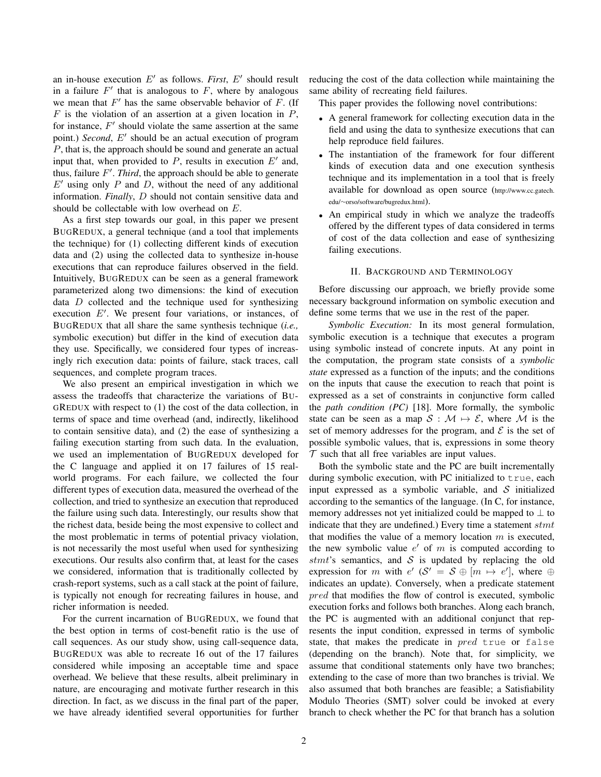an in-house execution  $E'$  as follows. *First*,  $E'$  should result in a failure  $F'$  that is analogous to  $F$ , where by analogous we mean that  $F'$  has the same observable behavior of  $F$ . (If  $F$  is the violation of an assertion at a given location in  $P$ , for instance,  $F'$  should violate the same assertion at the same point.) *Second*, E' should be an actual execution of program P, that is, the approach should be sound and generate an actual input that, when provided to  $P$ , results in execution  $E'$  and, thus, failure  $F'$ . *Third*, the approach should be able to generate  $E'$  using only P and D, without the need of any additional information. *Finally*, D should not contain sensitive data and should be collectable with low overhead on E.

As a first step towards our goal, in this paper we present BUGREDUX, a general technique (and a tool that implements the technique) for (1) collecting different kinds of execution data and (2) using the collected data to synthesize in-house executions that can reproduce failures observed in the field. Intuitively, BUGREDUX can be seen as a general framework parameterized along two dimensions: the kind of execution data D collected and the technique used for synthesizing execution  $E'$ . We present four variations, or instances, of BUGREDUX that all share the same synthesis technique (*i.e.,* symbolic execution) but differ in the kind of execution data they use. Specifically, we considered four types of increasingly rich execution data: points of failure, stack traces, call sequences, and complete program traces.

We also present an empirical investigation in which we assess the tradeoffs that characterize the variations of BU-GREDUX with respect to (1) the cost of the data collection, in terms of space and time overhead (and, indirectly, likelihood to contain sensitive data), and (2) the ease of synthesizing a failing execution starting from such data. In the evaluation, we used an implementation of BUGREDUX developed for the C language and applied it on 17 failures of 15 realworld programs. For each failure, we collected the four different types of execution data, measured the overhead of the collection, and tried to synthesize an execution that reproduced the failure using such data. Interestingly, our results show that the richest data, beside being the most expensive to collect and the most problematic in terms of potential privacy violation, is not necessarily the most useful when used for synthesizing executions. Our results also confirm that, at least for the cases we considered, information that is traditionally collected by crash-report systems, such as a call stack at the point of failure, is typically not enough for recreating failures in house, and richer information is needed.

For the current incarnation of BUGREDUX, we found that the best option in terms of cost-benefit ratio is the use of call sequences. As our study show, using call-sequence data, BUGREDUX was able to recreate 16 out of the 17 failures considered while imposing an acceptable time and space overhead. We believe that these results, albeit preliminary in nature, are encouraging and motivate further research in this direction. In fact, as we discuss in the final part of the paper, we have already identified several opportunities for further reducing the cost of the data collection while maintaining the same ability of recreating field failures.

This paper provides the following novel contributions:

- A general framework for collecting execution data in the field and using the data to synthesize executions that can help reproduce field failures.
- The instantiation of the framework for four different kinds of execution data and one execution synthesis technique and its implementation in a tool that is freely available for download as open source (http://www.cc.gatech. edu/∼orso/software/bugredux.html).
- An empirical study in which we analyze the tradeoffs offered by the different types of data considered in terms of cost of the data collection and ease of synthesizing failing executions.

## II. BACKGROUND AND TERMINOLOGY

Before discussing our approach, we briefly provide some necessary background information on symbolic execution and define some terms that we use in the rest of the paper.

*Symbolic Execution:* In its most general formulation, symbolic execution is a technique that executes a program using symbolic instead of concrete inputs. At any point in the computation, the program state consists of a *symbolic state* expressed as a function of the inputs; and the conditions on the inputs that cause the execution to reach that point is expressed as a set of constraints in conjunctive form called the *path condition (PC)* [18]. More formally, the symbolic state can be seen as a map  $S : \mathcal{M} \mapsto \mathcal{E}$ , where M is the set of memory addresses for the program, and  $\mathcal E$  is the set of possible symbolic values, that is, expressions in some theory  $T$  such that all free variables are input values.

Both the symbolic state and the PC are built incrementally during symbolic execution, with PC initialized to true, each input expressed as a symbolic variable, and  $S$  initialized according to the semantics of the language. (In C, for instance, memory addresses not yet initialized could be mapped to  $\perp$  to indicate that they are undefined.) Every time a statement  $s$ tmt that modifies the value of a memory location  $m$  is executed, the new symbolic value  $e'$  of m is computed according to stmt's semantics, and  $S$  is updated by replacing the old expression for m with  $e'$   $(S' = S \oplus [m \mapsto e'],$  where  $\oplus$ indicates an update). Conversely, when a predicate statement pred that modifies the flow of control is executed, symbolic execution forks and follows both branches. Along each branch, the PC is augmented with an additional conjunct that represents the input condition, expressed in terms of symbolic state, that makes the predicate in *pred* true or false (depending on the branch). Note that, for simplicity, we assume that conditional statements only have two branches; extending to the case of more than two branches is trivial. We also assumed that both branches are feasible; a Satisfiability Modulo Theories (SMT) solver could be invoked at every branch to check whether the PC for that branch has a solution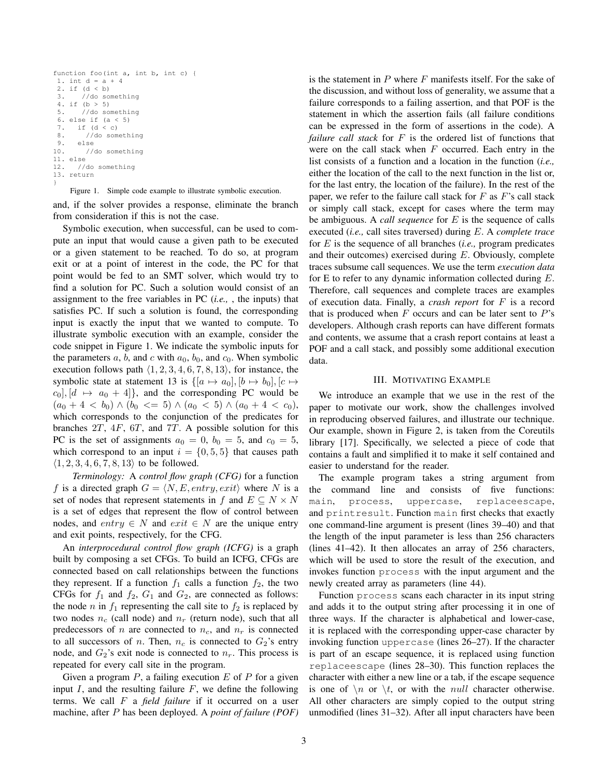```
function foo(int a, int b, int c) {
1. int d = a + 4
2. if (d < b)<br>3. //do so
      //do something
 4. if (b > 5)
 5. //do something
 6. else if (a < 5)
 7. if (d < c)
 8. //do something
 9. else
10. //do something
11. else
12. //do something
13. return
}
```
Figure 1. Simple code example to illustrate symbolic execution.

and, if the solver provides a response, eliminate the branch from consideration if this is not the case.

Symbolic execution, when successful, can be used to compute an input that would cause a given path to be executed or a given statement to be reached. To do so, at program exit or at a point of interest in the code, the PC for that point would be fed to an SMT solver, which would try to find a solution for PC. Such a solution would consist of an assignment to the free variables in PC (*i.e.,* , the inputs) that satisfies PC. If such a solution is found, the corresponding input is exactly the input that we wanted to compute. To illustrate symbolic execution with an example, consider the code snippet in Figure 1. We indicate the symbolic inputs for the parameters  $a, b$ , and  $c$  with  $a_0, b_0$ , and  $c_0$ . When symbolic execution follows path  $\langle 1, 2, 3, 4, 6, 7, 8, 13 \rangle$ , for instance, the symbolic state at statement 13 is  $\{[a \mapsto a_0], [b \mapsto b_0], [c \mapsto$  $c_0$ ,  $[d \mapsto a_0 + 4]$ , and the corresponding PC would be  $(a_0 + 4 < b_0) \wedge (b_0 \leq 5) \wedge (a_0 < 5) \wedge (a_0 + 4 < c_0),$ which corresponds to the conjunction of the predicates for branches  $2T$ ,  $4F$ ,  $6T$ , and  $7T$ . A possible solution for this PC is the set of assignments  $a_0 = 0$ ,  $b_0 = 5$ , and  $c_0 = 5$ , which correspond to an input  $i = \{0, 5, 5\}$  that causes path  $\langle 1, 2, 3, 4, 6, 7, 8, 13 \rangle$  to be followed.

*Terminology:* A *control flow graph (CFG)* for a function f is a directed graph  $G = \langle N, E, entry, exit \rangle$  where N is a set of nodes that represent statements in f and  $E \subseteq N \times N$ is a set of edges that represent the flow of control between nodes, and entry  $\in N$  and exit  $\in N$  are the unique entry and exit points, respectively, for the CFG.

An *interprocedural control flow graph (ICFG)* is a graph built by composing a set CFGs. To build an ICFG, CFGs are connected based on call relationships between the functions they represent. If a function  $f_1$  calls a function  $f_2$ , the two CFGs for  $f_1$  and  $f_2$ ,  $G_1$  and  $G_2$ , are connected as follows: the node n in  $f_1$  representing the call site to  $f_2$  is replaced by two nodes  $n_c$  (call node) and  $n_r$  (return node), such that all predecessors of n are connected to  $n_c$ , and  $n_r$  is connected to all successors of n. Then,  $n_c$  is connected to  $G_2$ 's entry node, and  $G_2$ 's exit node is connected to  $n_r$ . This process is repeated for every call site in the program.

Given a program  $P$ , a failing execution  $E$  of  $P$  for a given input  $I$ , and the resulting failure  $F$ , we define the following terms. We call F a *field failure* if it occurred on a user machine, after P has been deployed. A *point of failure (POF)* is the statement in  $P$  where  $F$  manifests itself. For the sake of the discussion, and without loss of generality, we assume that a failure corresponds to a failing assertion, and that POF is the statement in which the assertion fails (all failure conditions can be expressed in the form of assertions in the code). A *failure call stack* for F is the ordered list of functions that were on the call stack when  $F$  occurred. Each entry in the list consists of a function and a location in the function (*i.e.,* either the location of the call to the next function in the list or, for the last entry, the location of the failure). In the rest of the paper, we refer to the failure call stack for  $F$  as  $F$ 's call stack or simply call stack, except for cases where the term may be ambiguous. A *call sequence* for E is the sequence of calls executed (*i.e.,* call sites traversed) during E. A *complete trace* for E is the sequence of all branches (*i.e.,* program predicates and their outcomes) exercised during  $E$ . Obviously, complete traces subsume call sequences. We use the term *execution data* for E to refer to any dynamic information collected during  $E$ . Therefore, call sequences and complete traces are examples of execution data. Finally, a *crash report* for F is a record that is produced when  $F$  occurs and can be later sent to  $P$ 's developers. Although crash reports can have different formats and contents, we assume that a crash report contains at least a POF and a call stack, and possibly some additional execution data.

#### III. MOTIVATING EXAMPLE

We introduce an example that we use in the rest of the paper to motivate our work, show the challenges involved in reproducing observed failures, and illustrate our technique. Our example, shown in Figure 2, is taken from the Coreutils library [17]. Specifically, we selected a piece of code that contains a fault and simplified it to make it self contained and easier to understand for the reader.

The example program takes a string argument from the command line and consists of five functions: main, process, uppercase, replaceescape, and printresult. Function main first checks that exactly one command-line argument is present (lines 39–40) and that the length of the input parameter is less than 256 characters (lines 41–42). It then allocates an array of 256 characters, which will be used to store the result of the execution, and invokes function process with the input argument and the newly created array as parameters (line 44).

Function process scans each character in its input string and adds it to the output string after processing it in one of three ways. If the character is alphabetical and lower-case, it is replaced with the corresponding upper-case character by invoking function uppercase (lines 26–27). If the character is part of an escape sequence, it is replaced using function replaceescape (lines 28–30). This function replaces the character with either a new line or a tab, if the escape sequence is one of  $\n\t\{n\}$  or  $\nt$ , or with the *null* character otherwise. All other characters are simply copied to the output string unmodified (lines 31–32). After all input characters have been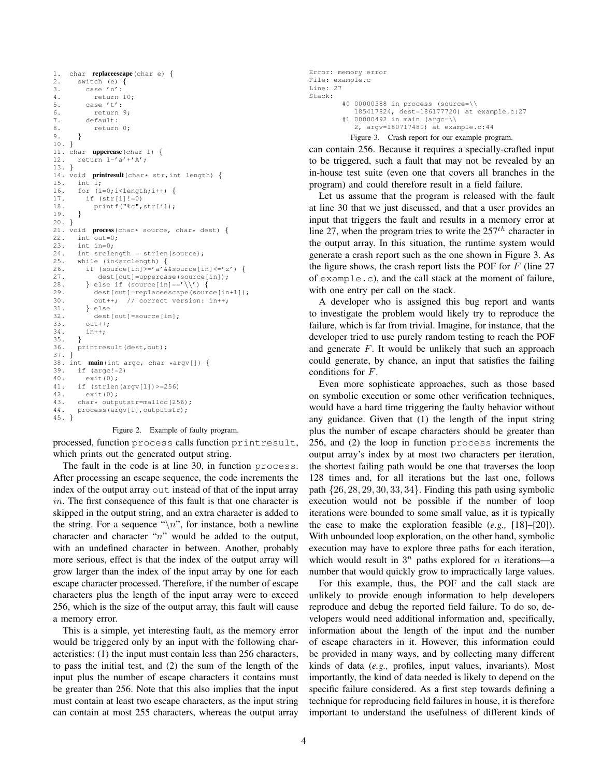```
1. char replaceescape(char e) {
2. switch (e) {
3. case 'n':
4. return 10;
5. case 't':
6. return 9;
7. default:
8. return 0;
9. }
10. }
11. char uppercase(char l) {
12. return l-'a'+'A';
13. }
14. void printresult (char* str, int length) {<br>15. int i;
       int i;
16. for (i=0; i < length; i++) {<br>17. if (str[i] != 0)if (str[i]:=0)18. printf("%c",str[i]);
19. }
20. }
21. void process (char* source, char* dest) {<br>22. int out=0;
       int out=0;23. int in=0;
24. int srclength = strlen(source);
25. while (in<srclength) {
26. if (sourcefin)>='a'&&source[in] <='z') {
27. dest[out]=uppercase(source[in]);<br>28. } else if (source[in]=='\\') {
         } else if (source[in]=='\\') {
29. dest[out]=replaceescape(source[in+1]);<br>30. out++: // correct version: in++:
            out++; // correct version: in++;
31. } else
32. dest[out]=source[in];<br>33. out++:
          33. out++;
34. in++;<br>35. }
35. }
36. printresult(dest,out);
37. }
38. int main(int argc, char *argv[]) {<br>39. if (\text{area}^{-1}=2)39. if (\text{argc!}=2)<br>40. \text{exit}(0):
40. exit<sup>(0)</sup>;<br>41. if (strlen
       if (strlen(argv[1])>=256)
42. exit(0);
43. char* outputstr=malloc(256);<br>44. process(argy[1], outputstr):
       process(argv[1],outputstr);
45. }
```
#### Figure 2. Example of faulty program.

processed, function process calls function printresult, which prints out the generated output string.

The fault in the code is at line 30, in function process. After processing an escape sequence, the code increments the index of the output array out instead of that of the input array in. The first consequence of this fault is that one character is skipped in the output string, and an extra character is added to the string. For a sequence " $\langle n$ ", for instance, both a newline character and character "n" would be added to the output, with an undefined character in between. Another, probably more serious, effect is that the index of the output array will grow larger than the index of the input array by one for each escape character processed. Therefore, if the number of escape characters plus the length of the input array were to exceed 256, which is the size of the output array, this fault will cause a memory error.

This is a simple, yet interesting fault, as the memory error would be triggered only by an input with the following characteristics: (1) the input must contain less than 256 characters, to pass the initial test, and (2) the sum of the length of the input plus the number of escape characters it contains must be greater than 256. Note that this also implies that the input must contain at least two escape characters, as the input string can contain at most 255 characters, whereas the output array

```
Error: memory error
File: example.c
Line: 27
Stack:
        #0 00000388 in process (source=\\
           185417824, dest=186177720) at example.c:27
        #1 00000492 in main (argc=\\
           2, argv=180717480) at example.c:44
          Figure 3. Crash report for our example program.
```
can contain 256. Because it requires a specially-crafted input to be triggered, such a fault that may not be revealed by an in-house test suite (even one that covers all branches in the program) and could therefore result in a field failure.

Let us assume that the program is released with the fault at line 30 that we just discussed, and that a user provides an input that triggers the fault and results in a memory error at line 27, when the program tries to write the  $257<sup>th</sup>$  character in the output array. In this situation, the runtime system would generate a crash report such as the one shown in Figure 3. As the figure shows, the crash report lists the POF for  $F$  (line 27) of example.c), and the call stack at the moment of failure, with one entry per call on the stack.

A developer who is assigned this bug report and wants to investigate the problem would likely try to reproduce the failure, which is far from trivial. Imagine, for instance, that the developer tried to use purely random testing to reach the POF and generate  $F$ . It would be unlikely that such an approach could generate, by chance, an input that satisfies the failing conditions for F.

Even more sophisticate approaches, such as those based on symbolic execution or some other verification techniques, would have a hard time triggering the faulty behavior without any guidance. Given that (1) the length of the input string plus the number of escape characters should be greater than 256, and (2) the loop in function process increments the output array's index by at most two characters per iteration, the shortest failing path would be one that traverses the loop 128 times and, for all iterations but the last one, follows path  $\{26, 28, 29, 30, 33, 34\}$ . Finding this path using symbolic execution would not be possible if the number of loop iterations were bounded to some small value, as it is typically the case to make the exploration feasible (*e.g.,* [18]–[20]). With unbounded loop exploration, on the other hand, symbolic execution may have to explore three paths for each iteration, which would result in  $3^n$  paths explored for *n* iterations—a number that would quickly grow to impractically large values.

For this example, thus, the POF and the call stack are unlikely to provide enough information to help developers reproduce and debug the reported field failure. To do so, developers would need additional information and, specifically, information about the length of the input and the number of escape characters in it. However, this information could be provided in many ways, and by collecting many different kinds of data (*e.g.,* profiles, input values, invariants). Most importantly, the kind of data needed is likely to depend on the specific failure considered. As a first step towards defining a technique for reproducing field failures in house, it is therefore important to understand the usefulness of different kinds of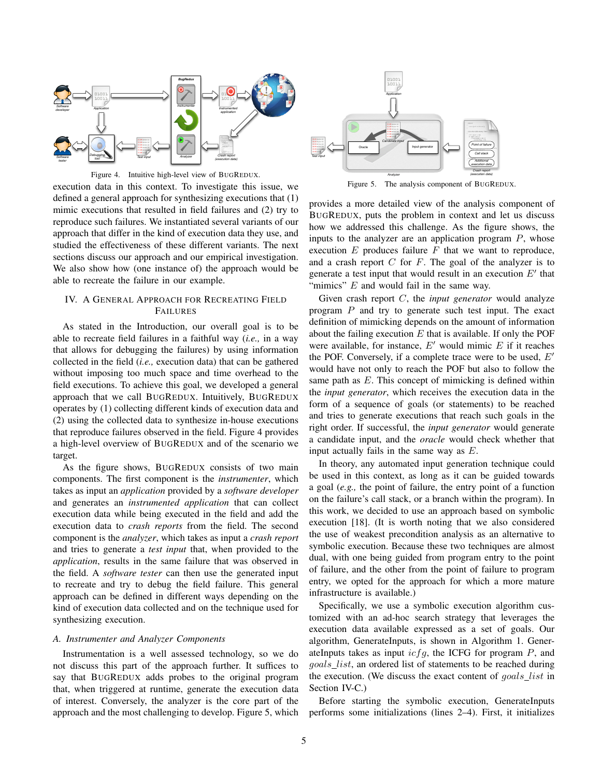

Figure 4. Intuitive high-level view of BUGREDUX.

execution data in this context. To investigate this issue, we defined a general approach for synthesizing executions that (1) mimic executions that resulted in field failures and (2) try to reproduce such failures. We instantiated several variants of our approach that differ in the kind of execution data they use, and studied the effectiveness of these different variants. The next sections discuss our approach and our empirical investigation. We also show how (one instance of) the approach would be able to recreate the failure in our example.

## IV. A GENERAL APPROACH FOR RECREATING FIELD FAILURES

As stated in the Introduction, our overall goal is to be able to recreate field failures in a faithful way (*i.e.,* in a way that allows for debugging the failures) by using information collected in the field (*i.e.,* execution data) that can be gathered without imposing too much space and time overhead to the field executions. To achieve this goal, we developed a general approach that we call BUGREDUX. Intuitively, BUGREDUX operates by (1) collecting different kinds of execution data and (2) using the collected data to synthesize in-house executions that reproduce failures observed in the field. Figure 4 provides a high-level overview of BUGREDUX and of the scenario we target.

As the figure shows, BUGREDUX consists of two main components. The first component is the *instrumenter*, which takes as input an *application* provided by a *software developer* and generates an *instrumented application* that can collect execution data while being executed in the field and add the execution data to *crash reports* from the field. The second component is the *analyzer*, which takes as input a *crash report* and tries to generate a *test input* that, when provided to the *application*, results in the same failure that was observed in the field. A *software tester* can then use the generated input to recreate and try to debug the field failure. This general approach can be defined in different ways depending on the kind of execution data collected and on the technique used for synthesizing execution.

#### *A. Instrumenter and Analyzer Components*

Instrumentation is a well assessed technology, so we do not discuss this part of the approach further. It suffices to say that BUGREDUX adds probes to the original program that, when triggered at runtime, generate the execution data of interest. Conversely, the analyzer is the core part of the approach and the most challenging to develop. Figure 5, which



Figure 5. The analysis component of BUGREDUX.

provides a more detailed view of the analysis component of BUGREDUX, puts the problem in context and let us discuss how we addressed this challenge. As the figure shows, the inputs to the analyzer are an application program  $P$ , whose execution  $E$  produces failure  $F$  that we want to reproduce, and a crash report  $C$  for  $F$ . The goal of the analyzer is to generate a test input that would result in an execution  $E'$  that "mimics"  $E$  and would fail in the same way.

Given crash report C, the *input generator* would analyze program P and try to generate such test input. The exact definition of mimicking depends on the amount of information about the failing execution  $E$  that is available. If only the POF were available, for instance,  $E'$  would mimic  $E$  if it reaches the POF. Conversely, if a complete trace were to be used,  $E'$ would have not only to reach the POF but also to follow the same path as E. This concept of mimicking is defined within the *input generator*, which receives the execution data in the form of a sequence of goals (or statements) to be reached and tries to generate executions that reach such goals in the right order. If successful, the *input generator* would generate a candidate input, and the *oracle* would check whether that input actually fails in the same way as E.

In theory, any automated input generation technique could be used in this context, as long as it can be guided towards a goal (*e.g.,* the point of failure, the entry point of a function on the failure's call stack, or a branch within the program). In this work, we decided to use an approach based on symbolic execution [18]. (It is worth noting that we also considered the use of weakest precondition analysis as an alternative to symbolic execution. Because these two techniques are almost dual, with one being guided from program entry to the point of failure, and the other from the point of failure to program entry, we opted for the approach for which a more mature infrastructure is available.)

Specifically, we use a symbolic execution algorithm customized with an ad-hoc search strategy that leverages the execution data available expressed as a set of goals. Our algorithm, GenerateInputs, is shown in Algorithm 1. GenerateInputs takes as input  $icfg$ , the ICFG for program  $P$ , and goals list, an ordered list of statements to be reached during the execution. (We discuss the exact content of goals\_list in Section IV-C.)

Before starting the symbolic execution, GenerateInputs performs some initializations (lines 2–4). First, it initializes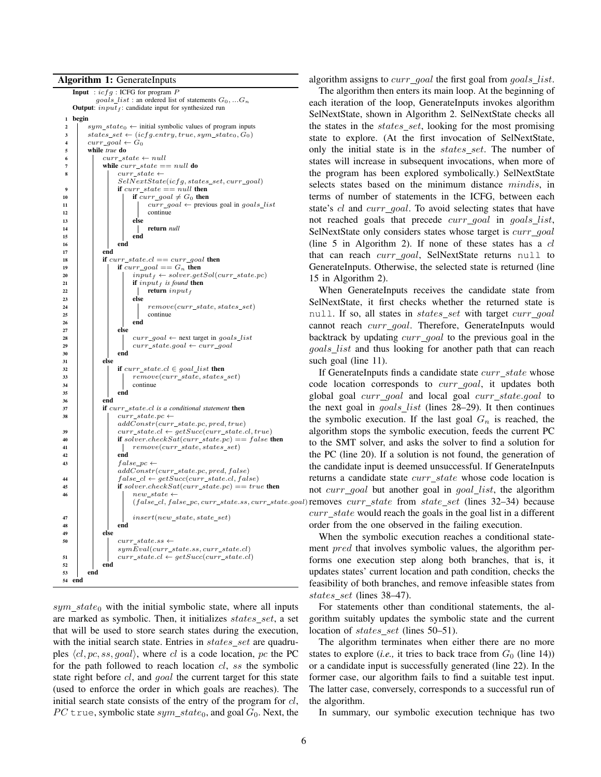Algorithm 1: GenerateInputs



 $sym\_state_0$  with the initial symbolic state, where all inputs are marked as symbolic. Then, it initializes states set, a set that will be used to store search states during the execution, with the initial search state. Entries in  $states\_set$  are quadruples  $\langle cl, pc, ss, goal \rangle$ , where cl is a code location, pc the PC for the path followed to reach location cl, ss the symbolic state right before cl, and *goal* the current target for this state (used to enforce the order in which goals are reaches). The initial search state consists of the entry of the program for  $cl$ , PC true, symbolic state  $sym\_state_0$ , and goal  $G_0$ . Next, the

algorithm assigns to *curr\_goal* the first goal from *goals\_list*.

The algorithm then enters its main loop. At the beginning of each iteration of the loop, GenerateInputs invokes algorithm SelNextState, shown in Algorithm 2. SelNextState checks all the states in the *states\_set*, looking for the most promising state to explore. (At the first invocation of SelNextState, only the initial state is in the *states\_set*. The number of states will increase in subsequent invocations, when more of the program has been explored symbolically.) SelNextState selects states based on the minimum distance mindis, in terms of number of statements in the ICFG, between each state's cl and curr\_goal. To avoid selecting states that have not reached goals that precede curr\_goal in goals\_list, SelNextState only considers states whose target is curr\_goal (line  $5$  in Algorithm 2). If none of these states has a  $cl$ that can reach *curr\_goal*, SelNextState returns null to GenerateInputs. Otherwise, the selected state is returned (line 15 in Algorithm 2).

When GenerateInputs receives the candidate state from SelNextState, it first checks whether the returned state is null. If so, all states in *states\_set* with target curr\_goal cannot reach *curr\_qoal*. Therefore, GenerateInputs would backtrack by updating *curr\_goal* to the previous goal in the goals\_list and thus looking for another path that can reach such goal (line 11).

 $(fale_{cl}, false_{pc}, curr_{state,ss, curr_{state}, goal)$  removes  $curr_{state}$  from state\_set (lines 32–34) because If GenerateInputs finds a candidate state  $curr\_state$  whose code location corresponds to *curr\_goal*, it updates both global goal curr goal and local goal curr state.goal to the next goal in  $goals\_list$  (lines 28–29). It then continues the symbolic execution. If the last goal  $G_n$  is reached, the algorithm stops the symbolic execution, feeds the current PC to the SMT solver, and asks the solver to find a solution for the PC (line 20). If a solution is not found, the generation of the candidate input is deemed unsuccessful. If GenerateInputs returns a candidate state  $curr\_state$  whose code location is not curr\_goal but another goal in goal\_list, the algorithm  $curr\_state$  would reach the goals in the goal list in a different order from the one observed in the failing execution.

> When the symbolic execution reaches a conditional statement *pred* that involves symbolic values, the algorithm performs one execution step along both branches, that is, it updates states' current location and path condition, checks the feasibility of both branches, and remove infeasible states from states set (lines 38–47).

> For statements other than conditional statements, the algorithm suitably updates the symbolic state and the current location of states\_set (lines 50–51).

> The algorithm terminates when either there are no more states to explore (*i.e.*, it tries to back trace from  $G_0$  (line 14)) or a candidate input is successfully generated (line 22). In the former case, our algorithm fails to find a suitable test input. The latter case, conversely, corresponds to a successful run of the algorithm.

In summary, our symbolic execution technique has two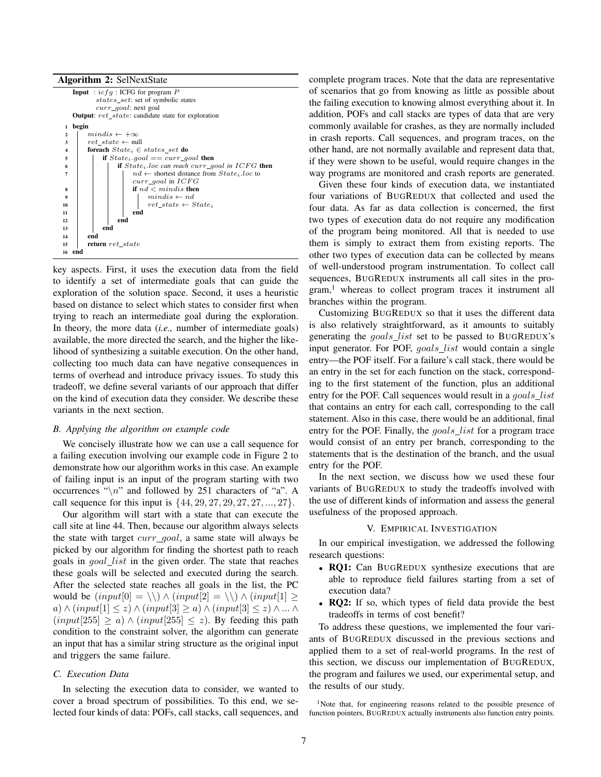

key aspects. First, it uses the execution data from the field to identify a set of intermediate goals that can guide the exploration of the solution space. Second, it uses a heuristic based on distance to select which states to consider first when trying to reach an intermediate goal during the exploration. In theory, the more data (*i.e.,* number of intermediate goals) available, the more directed the search, and the higher the likelihood of synthesizing a suitable execution. On the other hand, collecting too much data can have negative consequences in terms of overhead and introduce privacy issues. To study this tradeoff, we define several variants of our approach that differ on the kind of execution data they consider. We describe these variants in the next section.

#### *B. Applying the algorithm on example code*

We concisely illustrate how we can use a call sequence for a failing execution involving our example code in Figure 2 to demonstrate how our algorithm works in this case. An example of failing input is an input of the program starting with two occurrences " $\langle n \rangle$ " and followed by 251 characters of "a". A call sequence for this input is  $\{44, 29, 27, 29, 27, 27, ..., 27\}.$ 

Our algorithm will start with a state that can execute the call site at line 44. Then, because our algorithm always selects the state with target  $curr\_goal$ , a same state will always be picked by our algorithm for finding the shortest path to reach goals in *goal\_list* in the given order. The state that reaches these goals will be selected and executed during the search. After the selected state reaches all goals in the list, the PC would be  $(input[0] = \setminus) \wedge (input[2] = \setminus) \wedge (input[1] \ge$ a) ∧  $(input[1] \leq z)$  ∧  $(input[3] \geq a)$  ∧  $(input[3] \leq z)$  ∧ ... ∧  $(nput[255] \ge a) \wedge (input[255] \le z)$ . By feeding this path condition to the constraint solver, the algorithm can generate an input that has a similar string structure as the original input and triggers the same failure.

## *C. Execution Data*

In selecting the execution data to consider, we wanted to cover a broad spectrum of possibilities. To this end, we selected four kinds of data: POFs, call stacks, call sequences, and complete program traces. Note that the data are representative of scenarios that go from knowing as little as possible about the failing execution to knowing almost everything about it. In addition, POFs and call stacks are types of data that are very commonly available for crashes, as they are normally included in crash reports. Call sequences, and program traces, on the other hand, are not normally available and represent data that, if they were shown to be useful, would require changes in the way programs are monitored and crash reports are generated.

Given these four kinds of execution data, we instantiated four variations of BUGREDUX that collected and used the four data. As far as data collection is concerned, the first two types of execution data do not require any modification of the program being monitored. All that is needed to use them is simply to extract them from existing reports. The other two types of execution data can be collected by means of well-understood program instrumentation. To collect call sequences, BUGREDUX instruments all call sites in the pro $gram<sup>1</sup>$  whereas to collect program traces it instrument all branches within the program.

Customizing BUGREDUX so that it uses the different data is also relatively straightforward, as it amounts to suitably generating the goals\_list set to be passed to BUGREDUX's input generator. For POF, goals\_list would contain a single entry—the POF itself. For a failure's call stack, there would be an entry in the set for each function on the stack, corresponding to the first statement of the function, plus an additional entry for the POF. Call sequences would result in a goals\_list that contains an entry for each call, corresponding to the call statement. Also in this case, there would be an additional, final entry for the POF. Finally, the goals\_list for a program trace would consist of an entry per branch, corresponding to the statements that is the destination of the branch, and the usual entry for the POF.

In the next section, we discuss how we used these four variants of BUGREDUX to study the tradeoffs involved with the use of different kinds of information and assess the general usefulness of the proposed approach.

#### V. EMPIRICAL INVESTIGATION

In our empirical investigation, we addressed the following research questions:

- RO1: Can BUGREDUX synthesize executions that are able to reproduce field failures starting from a set of execution data?
- RQ2: If so, which types of field data provide the best tradeoffs in terms of cost benefit?

To address these questions, we implemented the four variants of BUGREDUX discussed in the previous sections and applied them to a set of real-world programs. In the rest of this section, we discuss our implementation of BUGREDUX, the program and failures we used, our experimental setup, and the results of our study.

<sup>1</sup>Note that, for engineering reasons related to the possible presence of function pointers, BUGREDUX actually instruments also function entry points.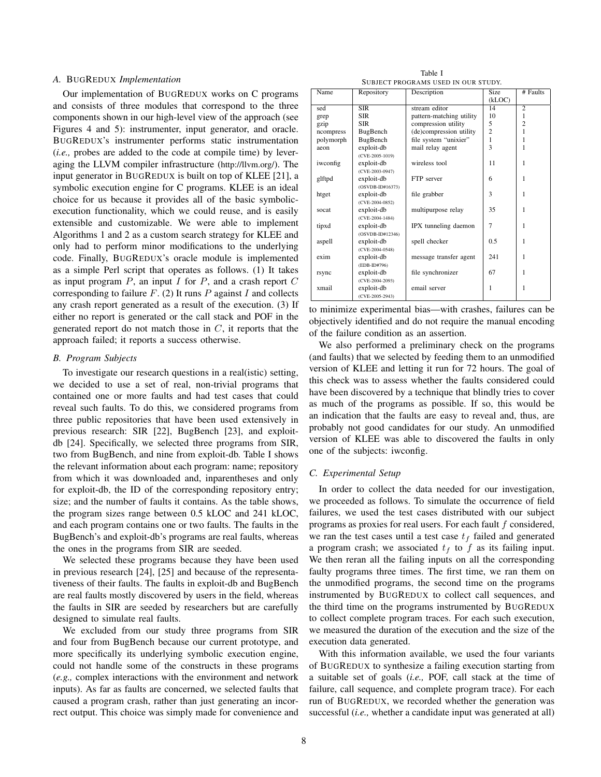## *A.* BUGREDUX *Implementation*

Our implementation of BUGREDUX works on C programs and consists of three modules that correspond to the three components shown in our high-level view of the approach (see Figures 4 and 5): instrumenter, input generator, and oracle. BUGREDUX's instrumenter performs static instrumentation (*i.e.,* probes are added to the code at compile time) by leveraging the LLVM compiler infrastructure (http://llvm.org/). The input generator in BUGREDUX is built on top of KLEE [21], a symbolic execution engine for C programs. KLEE is an ideal choice for us because it provides all of the basic symbolicexecution functionality, which we could reuse, and is easily extensible and customizable. We were able to implement Algorithms 1 and 2 as a custom search strategy for KLEE and only had to perform minor modifications to the underlying code. Finally, BUGREDUX's oracle module is implemented as a simple Perl script that operates as follows. (1) It takes as input program  $P$ , an input  $I$  for  $P$ , and a crash report  $C$ corresponding to failure  $F$ . (2) It runs  $P$  against  $I$  and collects any crash report generated as a result of the execution. (3) If either no report is generated or the call stack and POF in the generated report do not match those in  $C$ , it reports that the approach failed; it reports a success otherwise.

## *B. Program Subjects*

To investigate our research questions in a real(istic) setting, we decided to use a set of real, non-trivial programs that contained one or more faults and had test cases that could reveal such faults. To do this, we considered programs from three public repositories that have been used extensively in previous research: SIR [22], BugBench [23], and exploitdb [24]. Specifically, we selected three programs from SIR, two from BugBench, and nine from exploit-db. Table I shows the relevant information about each program: name; repository from which it was downloaded and, inparentheses and only for exploit-db, the ID of the corresponding repository entry; size; and the number of faults it contains. As the table shows, the program sizes range between 0.5 kLOC and 241 kLOC, and each program contains one or two faults. The faults in the BugBench's and exploit-db's programs are real faults, whereas the ones in the programs from SIR are seeded.

We selected these programs because they have been used in previous research [24], [25] and because of the representativeness of their faults. The faults in exploit-db and BugBench are real faults mostly discovered by users in the field, whereas the faults in SIR are seeded by researchers but are carefully designed to simulate real faults.

We excluded from our study three programs from SIR and four from BugBench because our current prototype, and more specifically its underlying symbolic execution engine, could not handle some of the constructs in these programs (*e.g.,* complex interactions with the environment and network inputs). As far as faults are concerned, we selected faults that caused a program crash, rather than just generating an incorrect output. This choice was simply made for convenience and

Table I SUBJECT PROGRAMS USED IN OUR STUDY.

| Name      | Repository         | Description              | Size           | # Faults       |
|-----------|--------------------|--------------------------|----------------|----------------|
|           |                    |                          | (kLOC)         |                |
| sed       | <b>SIR</b>         | stream editor            | 14             | $\overline{2}$ |
| grep      | <b>SIR</b>         | pattern-matching utility | 10             | 1              |
| gzip      | <b>SIR</b>         | compression utility      | 5              | $\overline{2}$ |
| ncompress | BugBench           | (de)compression utility  | $\overline{c}$ | 1              |
| polymorph | BugBench           | file system "unixier"    | 1              | 1              |
| aeon      | exploit-db         | mail relay agent         | 3              | 1              |
|           | $(CVE-2005-1019)$  |                          |                |                |
| iwconfig  | exploit-db         | wireless tool            | 11             | 1              |
|           | (CVE-2003-0947)    |                          |                |                |
| glftpd    | exploit-db         | FTP server               | 6              | 1              |
|           | $(OSVDB-ID#16373)$ |                          |                |                |
| htget     | exploit-db         | file grabber             | 3              | 1              |
|           | (CVE-2004-0852)    |                          |                |                |
| socat     | exploit-db         | multipurpose relay       | 35             | 1              |
|           | $(CVE-2004-1484)$  |                          |                |                |
| tipxd     | exploit-db         | IPX tunneling daemon     | 7              | 1              |
|           | $(OSVDB-ID#12346)$ |                          |                |                |
| aspell    | exploit-db         | spell checker            | 0.5            | 1              |
|           | $(CVE-2004-0548)$  |                          |                |                |
| exim      | exploit-db         | message transfer agent   | 241            | 1              |
|           | (EDB-ID#796)       |                          |                |                |
| rsync     | exploit-db         | file synchronizer        | 67             | 1              |
|           | $(CVE-2004-2093)$  |                          |                |                |
| xmail     | exploit-db         | email server             | 1              | 1              |
|           | $(CVE-2005-2943)$  |                          |                |                |

to minimize experimental bias—with crashes, failures can be objectively identified and do not require the manual encoding of the failure condition as an assertion.

We also performed a preliminary check on the programs (and faults) that we selected by feeding them to an unmodified version of KLEE and letting it run for 72 hours. The goal of this check was to assess whether the faults considered could have been discovered by a technique that blindly tries to cover as much of the programs as possible. If so, this would be an indication that the faults are easy to reveal and, thus, are probably not good candidates for our study. An unmodified version of KLEE was able to discovered the faults in only one of the subjects: iwconfig.

## *C. Experimental Setup*

In order to collect the data needed for our investigation, we proceeded as follows. To simulate the occurrence of field failures, we used the test cases distributed with our subject programs as proxies for real users. For each fault f considered, we ran the test cases until a test case  $t_f$  failed and generated a program crash; we associated  $t_f$  to f as its failing input. We then reran all the failing inputs on all the corresponding faulty programs three times. The first time, we ran them on the unmodified programs, the second time on the programs instrumented by BUGREDUX to collect call sequences, and the third time on the programs instrumented by BUGREDUX to collect complete program traces. For each such execution, we measured the duration of the execution and the size of the execution data generated.

With this information available, we used the four variants of BUGREDUX to synthesize a failing execution starting from a suitable set of goals (*i.e.,* POF, call stack at the time of failure, call sequence, and complete program trace). For each run of BUGREDUX, we recorded whether the generation was successful (*i.e.,* whether a candidate input was generated at all)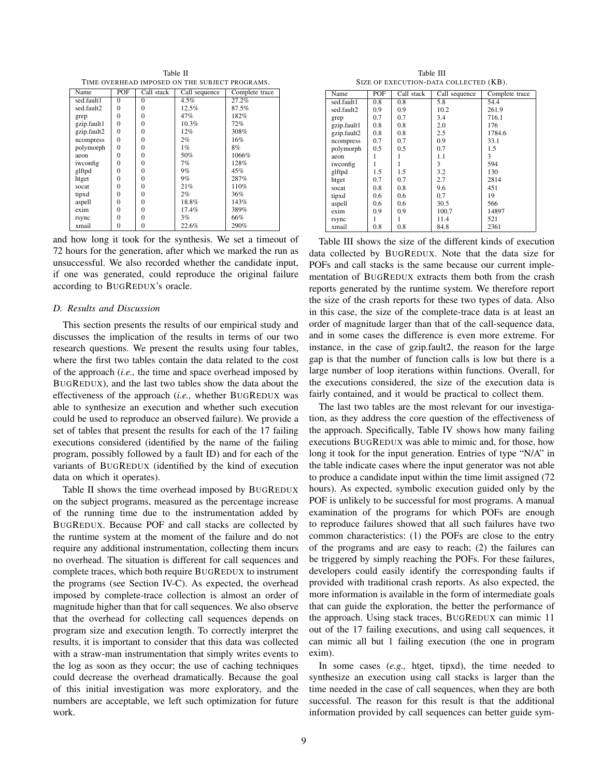Table II TIME OVERHEAD IMPOSED ON THE SUBJECT PROGRAMS.

| Name        | POF      | $\overline{\text{Call}}$ stack | Call sequence | Complete trace |
|-------------|----------|--------------------------------|---------------|----------------|
| sed.fault1  | $\theta$ | $\Omega$                       | $4.5\%$       | 27.2%          |
| sed.fault2  | 0        | $\Omega$                       | 12.5%         | 87.5%          |
| grep        | 0        | $\theta$                       | 47%           | 182%           |
| gzip.fault1 | 0        | $\theta$                       | $10.3\%$      | 72%            |
| gzip.fault2 | 0        | $\theta$                       | 12%           | 308%           |
| ncompress   | 0        | $\theta$                       | $2\%$         | 16%            |
| polymorph   | 0        | $\theta$                       | $1\%$         | 8%             |
| aeon        | 0        | $\theta$                       | 50%           | 1066%          |
| iwconfig    | 0        | $\theta$                       | 7%            | 128%           |
| glftpd      | 0        | $\theta$                       | $9\%$         | 45%            |
| htget       | 0        | $\theta$                       | 9%            | 287%           |
| socat       | 0        | $\theta$                       | 21%           | 110%           |
| tipxd       | $\theta$ | $\theta$                       | 2%            | 36%            |
| aspell      | 0        | $\theta$                       | 18.8%         | 143%           |
| exim        | 0        | $\theta$                       | 17.4%         | 389%           |
| rsync       | 0        | $\theta$                       | 3%            | 66%            |
| xmail       | 0        | 0                              | 22.6%         | 290%           |

and how long it took for the synthesis. We set a timeout of 72 hours for the generation, after which we marked the run as unsuccessful. We also recorded whether the candidate input, if one was generated, could reproduce the original failure according to BUGREDUX's oracle.

## *D. Results and Discussion*

This section presents the results of our empirical study and discusses the implication of the results in terms of our two research questions. We present the results using four tables, where the first two tables contain the data related to the cost of the approach (*i.e.,* the time and space overhead imposed by BUGREDUX), and the last two tables show the data about the effectiveness of the approach (*i.e.,* whether BUGREDUX was able to synthesize an execution and whether such execution could be used to reproduce an observed failure). We provide a set of tables that present the results for each of the 17 failing executions considered (identified by the name of the failing program, possibly followed by a fault ID) and for each of the variants of BUGREDUX (identified by the kind of execution data on which it operates).

Table II shows the time overhead imposed by BUGREDUX on the subject programs, measured as the percentage increase of the running time due to the instrumentation added by BUGREDUX. Because POF and call stacks are collected by the runtime system at the moment of the failure and do not require any additional instrumentation, collecting them incurs no overhead. The situation is different for call sequences and complete traces, which both require BUGREDUX to instrument the programs (see Section IV-C). As expected, the overhead imposed by complete-trace collection is almost an order of magnitude higher than that for call sequences. We also observe that the overhead for collecting call sequences depends on program size and execution length. To correctly interpret the results, it is important to consider that this data was collected with a straw-man instrumentation that simply writes events to the log as soon as they occur; the use of caching techniques could decrease the overhead dramatically. Because the goal of this initial investigation was more exploratory, and the numbers are acceptable, we left such optimization for future work.

Table III SIZE OF EXECUTION-DATA COLLECTED (KB).

| Name        | POF | Call stack | Call sequence | Complete trace |
|-------------|-----|------------|---------------|----------------|
| sed.fault1  | 0.8 | 0.8        | 5.8           | 54.4           |
| sed.fault2  | 0.9 | 0.9        | 10.2          | 261.9          |
| grep        | 0.7 | 0.7        | 3.4           | 716.1          |
| gzip.fault1 | 0.8 | 0.8        | 2.0           | 176            |
| gzip.fault2 | 0.8 | 0.8        | 2.5           | 1784.6         |
| ncompress   | 0.7 | 0.7        | 0.9           | 33.1           |
| polymorph   | 0.5 | 0.5        | 0.7           | 1.5            |
| aeon        |     |            | 1.1           | 3              |
| iwconfig    |     |            | 3             | 594            |
| glftpd      | 1.5 | 1.5        | 3.2           | 130            |
| htget       | 0.7 | 0.7        | 2.7           | 2814           |
| socat       | 0.8 | 0.8        | 9.6           | 451            |
| tipxd       | 0.6 | 0.6        | 0.7           | 19             |
| aspell      | 0.6 | 0.6        | 30.5          | 566            |
| exim        | 0.9 | 0.9        | 100.7         | 14897          |
| rsync       |     |            | 11.4          | 521            |
| xmail       | 0.8 | 0.8        | 84.8          | 2361           |

Table III shows the size of the different kinds of execution data collected by BUGREDUX. Note that the data size for POFs and call stacks is the same because our current implementation of BUGREDUX extracts them both from the crash reports generated by the runtime system. We therefore report the size of the crash reports for these two types of data. Also in this case, the size of the complete-trace data is at least an order of magnitude larger than that of the call-sequence data, and in some cases the difference is even more extreme. For instance, in the case of gzip.fault2, the reason for the large gap is that the number of function calls is low but there is a large number of loop iterations within functions. Overall, for the executions considered, the size of the execution data is fairly contained, and it would be practical to collect them.

The last two tables are the most relevant for our investigation, as they address the core question of the effectiveness of the approach. Specifically, Table IV shows how many failing executions BUGREDUX was able to mimic and, for those, how long it took for the input generation. Entries of type "N/A" in the table indicate cases where the input generator was not able to produce a candidate input within the time limit assigned (72 hours). As expected, symbolic execution guided only by the POF is unlikely to be successful for most programs. A manual examination of the programs for which POFs are enough to reproduce failures showed that all such failures have two common characteristics: (1) the POFs are close to the entry of the programs and are easy to reach; (2) the failures can be triggered by simply reaching the POFs. For these failures, developers could easily identify the corresponding faults if provided with traditional crash reports. As also expected, the more information is available in the form of intermediate goals that can guide the exploration, the better the performance of the approach. Using stack traces, BUGREDUX can mimic 11 out of the 17 failing executions, and using call sequences, it can mimic all but 1 failing execution (the one in program exim).

In some cases (*e.g.,* htget, tipxd), the time needed to synthesize an execution using call stacks is larger than the time needed in the case of call sequences, when they are both successful. The reason for this result is that the additional information provided by call sequences can better guide sym-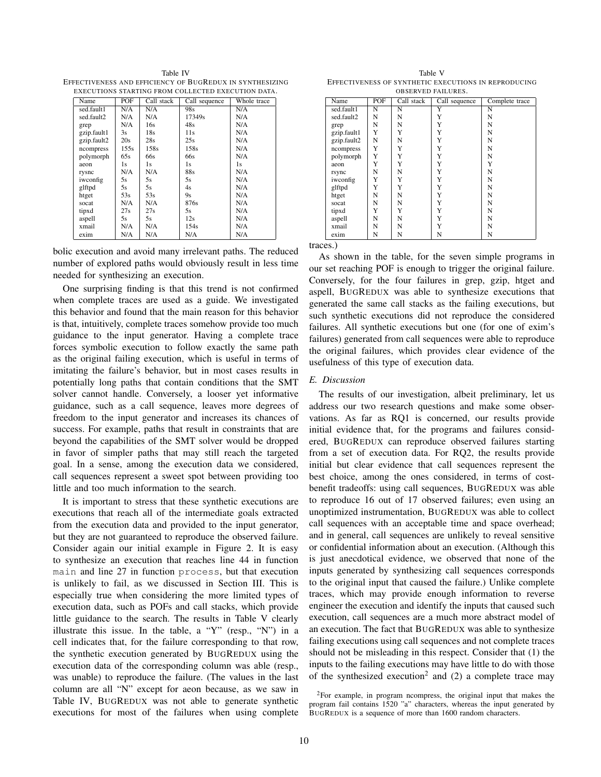Table IV EFFECTIVENESS AND EFFICIENCY OF BUGREDUX IN SYNTHESIZING EXECUTIONS STARTING FROM COLLECTED EXECUTION DATA.

| Name        | POF  | Call stack | Call sequence | Whole trace |
|-------------|------|------------|---------------|-------------|
| sed.fault1  | N/A  | N/A        | 98s           | N/A         |
| sed.fault2  | N/A  | N/A        | 17349s        | N/A         |
| grep        | N/A  | 16s        | 48s           | N/A         |
| gzip.fault1 | 3s   | 18s        | 11s           | N/A         |
| gzip.fault2 | 20s  | 28s        | 25s           | N/A         |
| ncompress   | 155s | 158s       | 158s          | N/A         |
| polymorph   | 65s  | 66s        | 66s           | N/A         |
| aeon        | 1s.  | 1s.        | 1s            | 1s.         |
| rysnc       | N/A  | N/A        | 88s           | N/A         |
| iwconfig    | 5s   | 5s         | 5s            | N/A         |
| glftpd      | 5s   | 5s         | 4s            | N/A         |
| htget       | 53s  | 53s        | 9s            | N/A         |
| socat       | N/A  | N/A        | 876s          | N/A         |
| tipxd       | 27s  | 27s        | 5s            | N/A         |
| aspell      | 5s.  | 5s         | 12s           | N/A         |
| xmail       | N/A  | N/A        | 154s          | N/A         |
| exim        | N/A  | N/A        | N/A           | N/A         |

bolic execution and avoid many irrelevant paths. The reduced number of explored paths would obviously result in less time needed for synthesizing an execution.

One surprising finding is that this trend is not confirmed when complete traces are used as a guide. We investigated this behavior and found that the main reason for this behavior is that, intuitively, complete traces somehow provide too much guidance to the input generator. Having a complete trace forces symbolic execution to follow exactly the same path as the original failing execution, which is useful in terms of imitating the failure's behavior, but in most cases results in potentially long paths that contain conditions that the SMT solver cannot handle. Conversely, a looser yet informative guidance, such as a call sequence, leaves more degrees of freedom to the input generator and increases its chances of success. For example, paths that result in constraints that are beyond the capabilities of the SMT solver would be dropped in favor of simpler paths that may still reach the targeted goal. In a sense, among the execution data we considered, call sequences represent a sweet spot between providing too little and too much information to the search.

It is important to stress that these synthetic executions are executions that reach all of the intermediate goals extracted from the execution data and provided to the input generator, but they are not guaranteed to reproduce the observed failure. Consider again our initial example in Figure 2. It is easy to synthesize an execution that reaches line 44 in function main and line 27 in function process, but that execution is unlikely to fail, as we discussed in Section III. This is especially true when considering the more limited types of execution data, such as POFs and call stacks, which provide little guidance to the search. The results in Table V clearly illustrate this issue. In the table, a "Y" (resp., "N") in a cell indicates that, for the failure corresponding to that row, the synthetic execution generated by BUGREDUX using the execution data of the corresponding column was able (resp., was unable) to reproduce the failure. (The values in the last column are all "N" except for aeon because, as we saw in Table IV, BUGREDUX was not able to generate synthetic executions for most of the failures when using complete

Table V EFFECTIVENESS OF SYNTHETIC EXECUTIONS IN REPRODUCING OBSERVED FAILURES.

| Name        | POF                   | Call stack | Call sequence | Complete trace        |
|-------------|-----------------------|------------|---------------|-----------------------|
| sed.fault1  | $\overline{\text{N}}$ | N          | Ÿ             | $\overline{\text{N}}$ |
| sed.fault2  | N                     | N          | Y             | N                     |
| grep        | N                     | N          | Y             | N                     |
| gzip.fault1 | Y                     | Y          | Y             | N                     |
| gzip.fault2 | N                     | N          | Y             | N                     |
| ncompress   | Y                     | Y          | Y             | N                     |
| polymorph   | Y                     | Y          | Y             | N                     |
| aeon        | Y                     | Y          | Y             | Y                     |
| rsync       | N                     | N          | Y             | N                     |
| iwconfig    | Y                     | Y          | Y             | N                     |
| glftpd      | Y                     | Y          | Y             | N                     |
| htget       | N                     | N          | Y             | N                     |
| socat       | N                     | N          | Y             | N                     |
| tipxd       | Y                     | Y          | Y             | N                     |
| aspell      | N                     | N          | Y             | N                     |
| xmail       | N                     | N          | Y             | N                     |
| exim        | N                     | N          | N             | N                     |

traces.)

As shown in the table, for the seven simple programs in our set reaching POF is enough to trigger the original failure. Conversely, for the four failures in grep, gzip, htget and aspell, BUGREDUX was able to synthesize executions that generated the same call stacks as the failing executions, but such synthetic executions did not reproduce the considered failures. All synthetic executions but one (for one of exim's failures) generated from call sequences were able to reproduce the original failures, which provides clear evidence of the usefulness of this type of execution data.

## *E. Discussion*

The results of our investigation, albeit preliminary, let us address our two research questions and make some observations. As far as RQ1 is concerned, our results provide initial evidence that, for the programs and failures considered, BUGREDUX can reproduce observed failures starting from a set of execution data. For RQ2, the results provide initial but clear evidence that call sequences represent the best choice, among the ones considered, in terms of costbenefit tradeoffs: using call sequences, BUGREDUX was able to reproduce 16 out of 17 observed failures; even using an unoptimized instrumentation, BUGREDUX was able to collect call sequences with an acceptable time and space overhead; and in general, call sequences are unlikely to reveal sensitive or confidential information about an execution. (Although this is just anecdotical evidence, we observed that none of the inputs generated by synthesizing call sequences corresponds to the original input that caused the failure.) Unlike complete traces, which may provide enough information to reverse engineer the execution and identify the inputs that caused such execution, call sequences are a much more abstract model of an execution. The fact that BUGREDUX was able to synthesize failing executions using call sequences and not complete traces should not be misleading in this respect. Consider that (1) the inputs to the failing executions may have little to do with those of the synthesized execution<sup>2</sup> and (2) a complete trace may

<sup>2</sup>For example, in program ncompress, the original input that makes the program fail contains 1520 "a" characters, whereas the input generated by BUGREDUX is a sequence of more than 1600 random characters.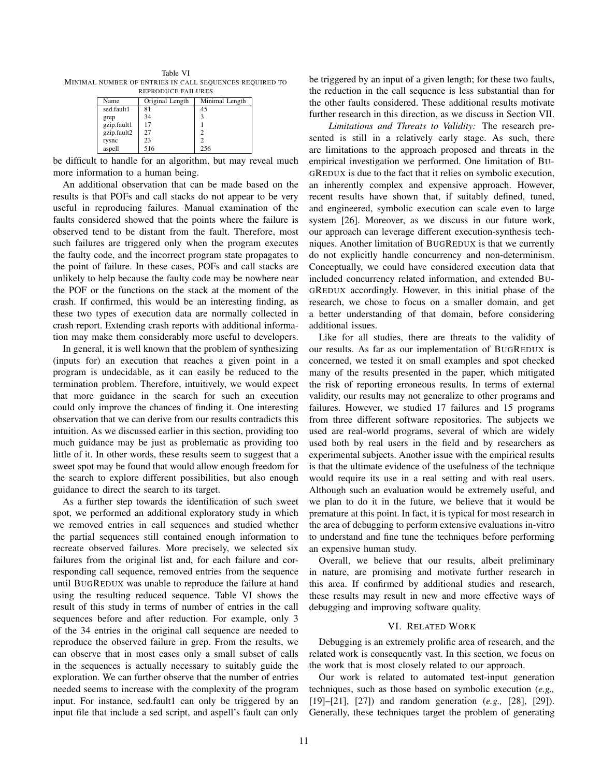Table VI MINIMAL NUMBER OF ENTRIES IN CALL SEQUENCES REQUIRED TO REPRODUCE FAILURES

| KLI KODUCE TAILUKL9 |                |  |  |
|---------------------|----------------|--|--|
| Original Length     | Minimal Length |  |  |
| 81                  | 45             |  |  |
| 34                  |                |  |  |
| 17                  |                |  |  |
| 27                  |                |  |  |
| 23                  |                |  |  |
| 516                 | 256            |  |  |
|                     |                |  |  |

be difficult to handle for an algorithm, but may reveal much more information to a human being.

An additional observation that can be made based on the results is that POFs and call stacks do not appear to be very useful in reproducing failures. Manual examination of the faults considered showed that the points where the failure is observed tend to be distant from the fault. Therefore, most such failures are triggered only when the program executes the faulty code, and the incorrect program state propagates to the point of failure. In these cases, POFs and call stacks are unlikely to help because the faulty code may be nowhere near the POF or the functions on the stack at the moment of the crash. If confirmed, this would be an interesting finding, as these two types of execution data are normally collected in crash report. Extending crash reports with additional information may make them considerably more useful to developers.

In general, it is well known that the problem of synthesizing (inputs for) an execution that reaches a given point in a program is undecidable, as it can easily be reduced to the termination problem. Therefore, intuitively, we would expect that more guidance in the search for such an execution could only improve the chances of finding it. One interesting observation that we can derive from our results contradicts this intuition. As we discussed earlier in this section, providing too much guidance may be just as problematic as providing too little of it. In other words, these results seem to suggest that a sweet spot may be found that would allow enough freedom for the search to explore different possibilities, but also enough guidance to direct the search to its target.

As a further step towards the identification of such sweet spot, we performed an additional exploratory study in which we removed entries in call sequences and studied whether the partial sequences still contained enough information to recreate observed failures. More precisely, we selected six failures from the original list and, for each failure and corresponding call sequence, removed entries from the sequence until BUGREDUX was unable to reproduce the failure at hand using the resulting reduced sequence. Table VI shows the result of this study in terms of number of entries in the call sequences before and after reduction. For example, only 3 of the 34 entries in the original call sequence are needed to reproduce the observed failure in grep. From the results, we can observe that in most cases only a small subset of calls in the sequences is actually necessary to suitably guide the exploration. We can further observe that the number of entries needed seems to increase with the complexity of the program input. For instance, sed.fault1 can only be triggered by an input file that include a sed script, and aspell's fault can only be triggered by an input of a given length; for these two faults, the reduction in the call sequence is less substantial than for the other faults considered. These additional results motivate further research in this direction, as we discuss in Section VII.

*Limitations and Threats to Validity:* The research presented is still in a relatively early stage. As such, there are limitations to the approach proposed and threats in the empirical investigation we performed. One limitation of BU-GREDUX is due to the fact that it relies on symbolic execution, an inherently complex and expensive approach. However, recent results have shown that, if suitably defined, tuned, and engineered, symbolic execution can scale even to large system [26]. Moreover, as we discuss in our future work, our approach can leverage different execution-synthesis techniques. Another limitation of BUGREDUX is that we currently do not explicitly handle concurrency and non-determinism. Conceptually, we could have considered execution data that included concurrency related information, and extended BU-GREDUX accordingly. However, in this initial phase of the research, we chose to focus on a smaller domain, and get a better understanding of that domain, before considering additional issues.

Like for all studies, there are threats to the validity of our results. As far as our implementation of BUGREDUX is concerned, we tested it on small examples and spot checked many of the results presented in the paper, which mitigated the risk of reporting erroneous results. In terms of external validity, our results may not generalize to other programs and failures. However, we studied 17 failures and 15 programs from three different software repositories. The subjects we used are real-world programs, several of which are widely used both by real users in the field and by researchers as experimental subjects. Another issue with the empirical results is that the ultimate evidence of the usefulness of the technique would require its use in a real setting and with real users. Although such an evaluation would be extremely useful, and we plan to do it in the future, we believe that it would be premature at this point. In fact, it is typical for most research in the area of debugging to perform extensive evaluations in-vitro to understand and fine tune the techniques before performing an expensive human study.

Overall, we believe that our results, albeit preliminary in nature, are promising and motivate further research in this area. If confirmed by additional studies and research, these results may result in new and more effective ways of debugging and improving software quality.

## VI. RELATED WORK

Debugging is an extremely prolific area of research, and the related work is consequently vast. In this section, we focus on the work that is most closely related to our approach.

Our work is related to automated test-input generation techniques, such as those based on symbolic execution (*e.g.,* [19]–[21], [27]) and random generation (*e.g.,* [28], [29]). Generally, these techniques target the problem of generating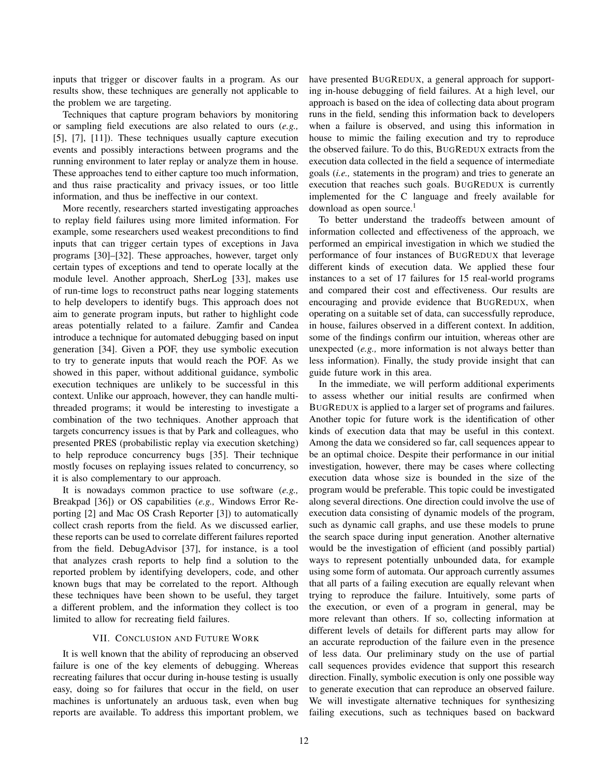inputs that trigger or discover faults in a program. As our results show, these techniques are generally not applicable to the problem we are targeting.

Techniques that capture program behaviors by monitoring or sampling field executions are also related to ours (*e.g.,* [5], [7], [11]). These techniques usually capture execution events and possibly interactions between programs and the running environment to later replay or analyze them in house. These approaches tend to either capture too much information, and thus raise practicality and privacy issues, or too little information, and thus be ineffective in our context.

More recently, researchers started investigating approaches to replay field failures using more limited information. For example, some researchers used weakest preconditions to find inputs that can trigger certain types of exceptions in Java programs [30]–[32]. These approaches, however, target only certain types of exceptions and tend to operate locally at the module level. Another approach, SherLog [33], makes use of run-time logs to reconstruct paths near logging statements to help developers to identify bugs. This approach does not aim to generate program inputs, but rather to highlight code areas potentially related to a failure. Zamfir and Candea introduce a technique for automated debugging based on input generation [34]. Given a POF, they use symbolic execution to try to generate inputs that would reach the POF. As we showed in this paper, without additional guidance, symbolic execution techniques are unlikely to be successful in this context. Unlike our approach, however, they can handle multithreaded programs; it would be interesting to investigate a combination of the two techniques. Another approach that targets concurrency issues is that by Park and colleagues, who presented PRES (probabilistic replay via execution sketching) to help reproduce concurrency bugs [35]. Their technique mostly focuses on replaying issues related to concurrency, so it is also complementary to our approach.

It is nowadays common practice to use software (*e.g.,* Breakpad [36]) or OS capabilities (*e.g.,* Windows Error Reporting [2] and Mac OS Crash Reporter [3]) to automatically collect crash reports from the field. As we discussed earlier, these reports can be used to correlate different failures reported from the field. DebugAdvisor [37], for instance, is a tool that analyzes crash reports to help find a solution to the reported problem by identifying developers, code, and other known bugs that may be correlated to the report. Although these techniques have been shown to be useful, they target a different problem, and the information they collect is too limited to allow for recreating field failures.

## VII. CONCLUSION AND FUTURE WORK

It is well known that the ability of reproducing an observed failure is one of the key elements of debugging. Whereas recreating failures that occur during in-house testing is usually easy, doing so for failures that occur in the field, on user machines is unfortunately an arduous task, even when bug reports are available. To address this important problem, we have presented BUGREDUX, a general approach for supporting in-house debugging of field failures. At a high level, our approach is based on the idea of collecting data about program runs in the field, sending this information back to developers when a failure is observed, and using this information in house to mimic the failing execution and try to reproduce the observed failure. To do this, BUGREDUX extracts from the execution data collected in the field a sequence of intermediate goals (*i.e.,* statements in the program) and tries to generate an execution that reaches such goals. BUGREDUX is currently implemented for the C language and freely available for download as open source. $<sup>1</sup>$ </sup>

To better understand the tradeoffs between amount of information collected and effectiveness of the approach, we performed an empirical investigation in which we studied the performance of four instances of BUGREDUX that leverage different kinds of execution data. We applied these four instances to a set of 17 failures for 15 real-world programs and compared their cost and effectiveness. Our results are encouraging and provide evidence that BUGREDUX, when operating on a suitable set of data, can successfully reproduce, in house, failures observed in a different context. In addition, some of the findings confirm our intuition, whereas other are unexpected (*e.g.,* more information is not always better than less information). Finally, the study provide insight that can guide future work in this area.

In the immediate, we will perform additional experiments to assess whether our initial results are confirmed when BUGREDUX is applied to a larger set of programs and failures. Another topic for future work is the identification of other kinds of execution data that may be useful in this context. Among the data we considered so far, call sequences appear to be an optimal choice. Despite their performance in our initial investigation, however, there may be cases where collecting execution data whose size is bounded in the size of the program would be preferable. This topic could be investigated along several directions. One direction could involve the use of execution data consisting of dynamic models of the program, such as dynamic call graphs, and use these models to prune the search space during input generation. Another alternative would be the investigation of efficient (and possibly partial) ways to represent potentially unbounded data, for example using some form of automata. Our approach currently assumes that all parts of a failing execution are equally relevant when trying to reproduce the failure. Intuitively, some parts of the execution, or even of a program in general, may be more relevant than others. If so, collecting information at different levels of details for different parts may allow for an accurate reproduction of the failure even in the presence of less data. Our preliminary study on the use of partial call sequences provides evidence that support this research direction. Finally, symbolic execution is only one possible way to generate execution that can reproduce an observed failure. We will investigate alternative techniques for synthesizing failing executions, such as techniques based on backward